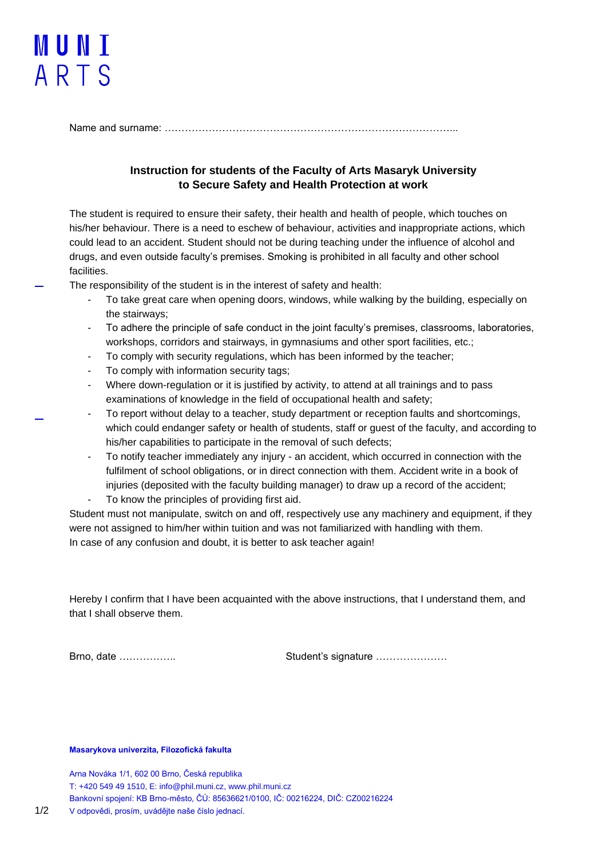## MUNI ARTS

Name and surname: …………………………………………………………………………...

## **Instruction for students of the Faculty of Arts Masaryk University to Secure Safety and Health Protection at work**

The student is required to ensure their safety, their health and health of people, which touches on his/her behaviour. There is a need to eschew of behaviour, activities and inappropriate actions, which could lead to an accident. Student should not be during teaching under the influence of alcohol and drugs, and even outside faculty's premises. Smoking is prohibited in all faculty and other school facilities.

The responsibility of the student is in the interest of safety and health:

- To take great care when opening doors, windows, while walking by the building, especially on the stairways;
- To adhere the principle of safe conduct in the joint faculty's premises, classrooms, laboratories, workshops, corridors and stairways, in gymnasiums and other sport facilities, etc.;
- To comply with security regulations, which has been informed by the teacher;
- To comply with information security tags;
- Where down-regulation or it is justified by activity, to attend at all trainings and to pass examinations of knowledge in the field of occupational health and safety;
- To report without delay to a teacher, study department or reception faults and shortcomings, which could endanger safety or health of students, staff or guest of the faculty, and according to his/her capabilities to participate in the removal of such defects;
- To notify teacher immediately any injury an accident, which occurred in connection with the fulfilment of school obligations, or in direct connection with them. Accident write in a book of injuries (deposited with the faculty building manager) to draw up a record of the accident;
- To know the principles of providing first aid.

Student must not manipulate, switch on and off, respectively use any machinery and equipment, if they were not assigned to him/her within tuition and was not familiarized with handling with them. In case of any confusion and doubt, it is better to ask teacher again!

Hereby I confirm that I have been acquainted with the above instructions, that I understand them, and that I shall observe them.

Brno, date …………….. Student's signature …………………

## **Masarykova univerzita, Filozofická fakulta**

Arna Nováka 1/1, 602 00 Brno, Česká republika T: +420 549 49 1510, E: info@phil.muni.cz, www.phil.muni.cz Bankovní spojení: KB Brno-město, ČÚ: 85636621/0100, IČ: 00216224, DIČ: CZ00216224 1/2 V odpovědi, prosím, uvádějte naše číslo jednací.